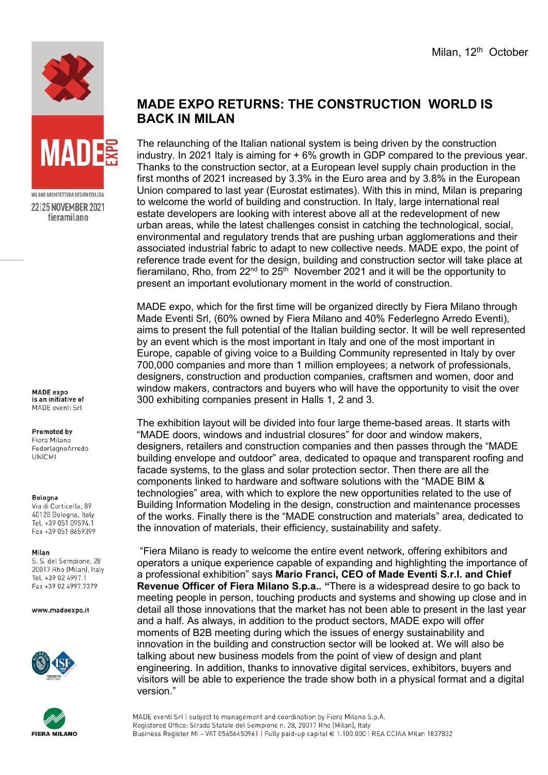



MILANO ARCHITETTURA DESIGN EDILIZIA 22 25 NOVEMBER 2021 fieramilano

**MADE** expo is an initiative of MADE eventi Srl

## **Promoted by**

Fiera Milano FederlegnoArredo **UNICMI** 

## Bologna

Via di Corticella, 89 40128 Bologna, Italy Tel +39 051 09594 1 Fax +39 051 8659399

## Milan

S. S. del Sempione, 28 20017 Rho (Milan), Italy Tel. +39 02 4997.1 Fax +39 02 4997.7379

www.madeexpo.it





## **MADE EXPO RETURNS: THE CONSTRUCTION WORLD IS BACK IN MILAN**

The relaunching of the Italian national system is being driven by the construction industry. In 2021 Italy is aiming for + 6% growth in GDP compared to the previous year. Thanks to the construction sector, at a European level supply chain production in the first months of 2021 increased by 3.3% in the Euro area and by 3.8% in the European Union compared to last year (Eurostat estimates). With this in mind, Milan is preparing to welcome the world of building and construction. In Italy, large international real estate developers are looking with interest above all at the redevelopment of new urban areas, while the latest challenges consist in catching the technological, social, environmental and regulatory trends that are pushing urban agglomerations and their associated industrial fabric to adapt to new collective needs. MADE expo, the point of reference trade event for the design, building and construction sector will take place at fieramilano, Rho, from 22<sup>nd</sup> to 25<sup>th</sup> November 2021 and it will be the opportunity to present an important evolutionary moment in the world of construction.

MADE expo, which for the first time will be organized directly by Fiera Milano through Made Eventi Srl, (60% owned by Fiera Milano and 40% Federlegno Arredo Eventi), aims to present the full potential of the Italian building sector. It will be well represented by an event which is the most important in Italy and one of the most important in Europe, capable of giving voice to a Building Community represented in Italy by over 700,000 companies and more than 1 million employees; a network of professionals, designers, construction and production companies, craftsmen and women, door and window makers, contractors and buyers who will have the opportunity to visit the over 300 exhibiting companies present in Halls 1, 2 and 3.

The exhibition layout will be divided into four large theme-based areas. It starts with "MADE doors, windows and industrial closures" for door and window makers, designers, retailers and construction companies and then passes through the "MADE building envelope and outdoor" area, dedicated to opaque and transparent roofing and facade systems, to the glass and solar protection sector. Then there are all the components linked to hardware and software solutions with the "MADE BIM & technologies" area, with which to explore the new opportunities related to the use of Building Information Modeling in the design, construction and maintenance processes of the works. Finally there is the "MADE construction and materials" area, dedicated to the innovation of materials, their efficiency, sustainability and safety.

"Fiera Milano is ready to welcome the entire event network, offering exhibitors and operators a unique experience capable of expanding and highlighting the importance of a professional exhibition" says **Mario Franci, CEO of Made Eventi S.r.l. and Chief Revenue Officer of Fiera Milano S.p.a.. "**There is a widespread desire to go back to meeting people in person, touching products and systems and showing up close and in detail all those innovations that the market has not been able to present in the last year and a half. As always, in addition to the product sectors, MADE expo will offer moments of B2B meeting during which the issues of energy sustainability and innovation in the building and construction sector will be looked at. We will also be talking about new business models from the point of view of design and plant engineering. In addition, thanks to innovative digital services, exhibitors, buyers and visitors will be able to experience the trade show both in a physical format and a digital version."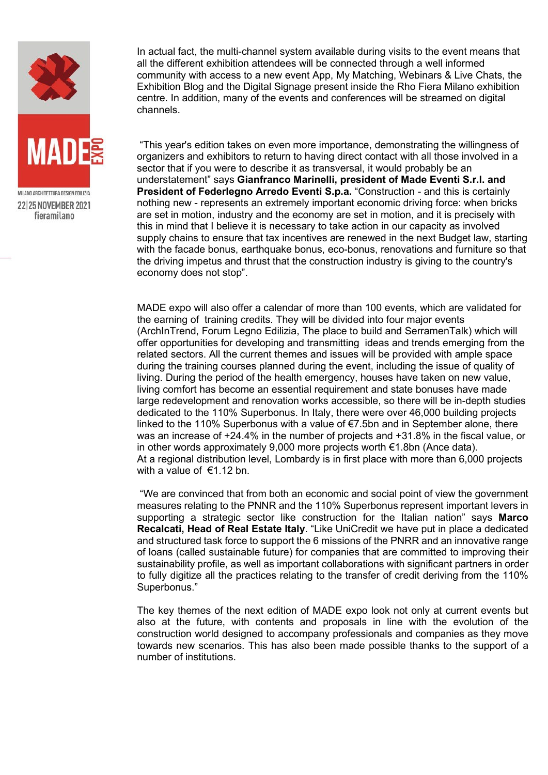

In actual fact, the multi-channel system available during visits to the event means that all the different exhibition attendees will be connected through a well informed community with access to a new event App, My Matching, Webinars & Live Chats, the Exhibition Blog and the Digital Signage present inside the Rho Fiera Milano exhibition centre. In addition, many of the events and conferences will be streamed on digital channels.

"This year's edition takes on even more importance, demonstrating the willingness of organizers and exhibitors to return to having direct contact with all those involved in a sector that if you were to describe it as transversal, it would probably be an understatement" says **Gianfranco Marinelli, president of Made Eventi S.r.l. and President of Federlegno Arredo Eventi S.p.a.** "Construction - and this is certainly nothing new - represents an extremely important economic driving force: when bricks are set in motion, industry and the economy are set in motion, and it is precisely with this in mind that I believe it is necessary to take action in our capacity as involved supply chains to ensure that tax incentives are renewed in the next Budget law, starting with the facade bonus, earthquake bonus, eco-bonus, renovations and furniture so that the driving impetus and thrust that the construction industry is giving to the country's economy does not stop".

MADE expo will also offer a calendar of more than 100 events, which are validated for the earning of training credits. They will be divided into four major events (ArchInTrend, Forum Legno Edilizia, The place to build and SerramenTalk) which will offer opportunities for developing and transmitting ideas and trends emerging from the related sectors. All the current themes and issues will be provided with ample space during the training courses planned during the event, including the issue of quality of living. During the period of the health emergency, houses have taken on new value, living comfort has become an essential requirement and state bonuses have made large redevelopment and renovation works accessible, so there will be in-depth studies dedicated to the 110% Superbonus. In Italy, there were over 46,000 building projects linked to the 110% Superbonus with a value of €7.5bn and in September alone, there was an increase of +24.4% in the number of projects and +31.8% in the fiscal value, or in other words approximately 9,000 more projects worth €1.8bn (Ance data). At a regional distribution level, Lombardy is in first place with more than 6,000 projects with a value of  $\in$ 1.12 bn.

"We are convinced that from both an economic and social point of view the government measures relating to the PNNR and the 110% Superbonus represent important levers in supporting a strategic sector like construction for the Italian nation" says **Marco Recalcati, Head of Real Estate Italy**. "Like UniCredit we have put in place a dedicated and structured task force to support the 6 missions of the PNRR and an innovative range of loans (called sustainable future) for companies that are committed to improving their sustainability profile, as well as important collaborations with significant partners in order to fully digitize all the practices relating to the transfer of credit deriving from the 110% Superbonus."

The key themes of the next edition of MADE expo look not only at current events but also at the future, with contents and proposals in line with the evolution of the construction world designed to accompany professionals and companies as they move towards new scenarios. This has also been made possible thanks to the support of a number of institutions.